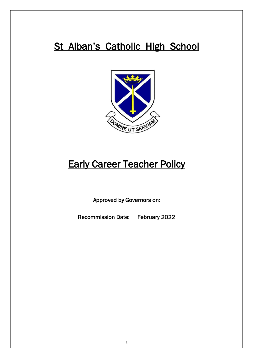# St Alban's Catholic High School



# **Early Career Teacher Policy**

Approved by Governors on:

Recommission Date: February 2022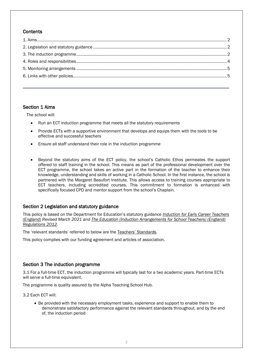# **Contents**

## <span id="page-1-0"></span>Section 1 Aims

The school will:

- Run an ECT induction programme that meets all the statutory requirements
- Provide ECTs with a supportive environment that develops and equips them with the tools to be effective and successful teachers
- Ensure all staff understand their role in the induction programme
- Beyond the statutory aims of the ECT policy, the school's Catholic Ethos permeates the support offered to staff training in the school. This means as part of the professional development over the ECT programme, the school takes an active part in the formation of the teacher to enhance their knowledge, understanding and skills of working in a Catholic School. In the first instance, the school is partnered with the Margaret Beaufort Institute. This allows access to training courses appropriate to ECT teachers, including accredited courses. This commitment to formation is enhanced with specifically focused CPD and mentor support from the school's Chaplain.

## <span id="page-1-1"></span>Section 2 Legislation and statutory guidance

This policy is based on the Department for Education's statutory guidance *[Induction for Early Career](https://www.gov.uk/government/publications/induction-for-newly-qualified-teachers-nqts) Teachers [\(England\)](https://www.gov.uk/government/publications/induction-for-newly-qualified-teachers-nqts) Revised March 2021 an[d The Education \(Induction Arrangements for School Teachers\) \(England\)](http://www.legislation.gov.uk/uksi/2012/1115/contents/made)  [Regulations 2012.](http://www.legislation.gov.uk/uksi/2012/1115/contents/made)*

The 'relevant standards' referred to below are the [Teachers' Stand](https://www.gov.uk/government/publications/teachers-standards)ards.

This policy complies with our funding agreement and articles of association.

## <span id="page-1-2"></span>Section 3 The induction programme

3.1 For a full-time ECT, the induction programme will typically last for a two academic years. Part-time ECTs will serve a full-time equivalent.

The programme is quality assured by the Alpha Teaching School Hub.

3.2 Each ECT will:

• Be provided with the necessary employment tasks, experience and support to enable them to demonstrate satisfactory performance against the relevant standards throughout, and by the end of, the induction period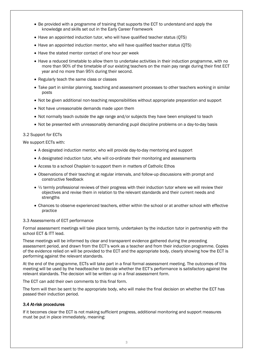- Be provided with a programme of training that supports the ECT to understand and apply the knowledge and skills set out in the Early Career Framework
- Have an appointed induction tutor, who will have qualified teacher status (QTS)
- Have an appointed induction mentor, who will have qualified teacher status (QTS)
- Have the stated mentor contact of one hour per week
- Have a reduced timetable to allow them to undertake activities in their induction programme, with no more than 90% of the timetable of our existing teachers on the main pay range during their first ECT year and no more than 95% during their second.
- Regularly teach the same class or classes
- Take part in similar planning, teaching and assessment processes to other teachers working in similar posts
- Not be given additional non-teaching responsibilities without appropriate preparation and support
- Not have unreasonable demands made upon them
- Not normally teach outside the age range and/or subjects they have been employed to teach
- Not be presented with unreasonably demanding pupil discipline problems on a day-to-day basis

#### 3.2 Support for ECTs

We support ECTs with:

- A designated induction mentor, who will provide day-to-day mentoring and support
- A designated induction tutor, who will co-ordinate their monitoring and assessments
- Access to a school Chaplain to support them in matters of Catholic Ethos
- Observations of their teaching at regular intervals, and follow-up discussions with prompt and constructive feedback
- $\bullet$   $\frac{1}{2}$  termly professional reviews of their progress with their induction tutor where we will review their objectives and revise them in relation to the relevant standards and their current needs and strengths
- Chances to observe experienced teachers, either within the school or at another school with effective practice

#### 3.3 Assessments of ECT performance

Formal assessment meetings will take place termly, undertaken by the induction tutor in partnership with the school ECT & ITT lead.

These meetings will be informed by clear and transparent evidence gathered during the preceding assessment period, and drawn from the ECT's work as a teacher and from their induction programme. Copies of the evidence relied on will be provided to the ECT and the appropriate body, clearly showing how the ECT is performing against the relevant standards.

At the end of the programme, ECTs will take part in a final formal assessment meeting. The outcomes of this meeting will be used by the headteacher to decide whether the ECT's performance is satisfactory against the relevant standards. The decision will be written up in a final assessment form.

The ECT can add their own comments to this final form.

The form will then be sent to the appropriate body, who will make the final decision on whether the ECT has passed their induction period.

#### 3.4 At-risk procedures

If it becomes clear the ECT is not making sufficient progress, additional monitoring and support measures must be put in place immediately, meaning: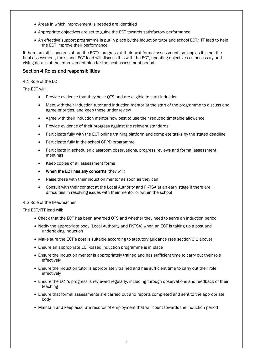- Areas in which improvement is needed are identified
- Appropriate objectives are set to guide the ECT towards satisfactory performance
- An effective support programme is put in place by the induction tutor and school ECT/ITT lead to help the ECT improve their performance

If there are still concerns about the ECT's progress at their next formal assessment, so long as it is not the final assessment, the school ECT lead will discuss this with the ECT, updating objectives as necessary and giving details of the improvement plan for the next assessment period.

## <span id="page-3-0"></span>Section 4 Roles and responsibilities

4.1 Role of the ECT

The ECT will:

- Provide evidence that they have QTS and are eligible to start induction
- Meet with their induction tutor and induction mentor at the start of the programme to discuss and agree priorities, and keep these under review
- Agree with their induction mentor how best to use their reduced timetable allowance
- Provide evidence of their progress against the relevant standards
- Participate fully with the ECT online training platform and complete tasks by the stated deadline
- Participate fully in the school CPPD programme
- Participate in scheduled classroom observations, progress reviews and formal assessment meetings
- Keep copies of all assessment forms
- When the ECT has any concerns, they will:
- Raise these with their induction mentor as soon as they can
- Consult with their contact at the Local Authority and FKTSA at an early stage if there are difficulties in resolving issues with their mentor or within the school

### 4.2 Role of the headteacher

The ECT/ITT lead will:

- Check that the ECT has been awarded QTS and whether they need to serve an induction period
- Notify the appropriate body (Local Authority and FKTSA) when an ECT is taking up a post and undertaking induction
- Make sure the ECT's post is suitable according to statutory guidance (see section 3.1 above)
- Ensure an appropriate ECF-based induction programme is in place
- Ensure the induction mentor is appropriately trained and has sufficient time to carry out their role effectively
- Ensure the induction tutor is appropriately trained and has sufficient time to carry out their role effectively
- Ensure the ECT's progress is reviewed regularly, including through observations and feedback of their teaching
- Ensure that formal assessments are carried out and reports completed and sent to the appropriate body
- Maintain and keep accurate records of employment that will count towards the induction period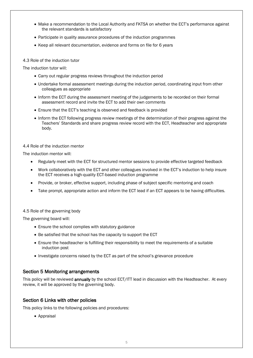- Make a recommendation to the Local Authority and FKTSA on whether the ECT's performance against the relevant standards is satisfactory
- Participate in quality assurance procedures of the induction programmes
- Keep all relevant documentation, evidence and forms on file for 6 years

#### 4.3 Role of the induction tutor

The induction tutor will:

- Carry out regular progress reviews throughout the induction period
- Undertake formal assessment meetings during the induction period, coordinating input from other colleagues as appropriate
- Inform the ECT during the assessment meeting of the judgements to be recorded on their formal assessment record and invite the ECT to add their own comments
- Ensure that the ECT's teaching is observed and feedback is provided
- Inform the ECT following progress review meetings of the determination of their progress against the Teachers' Standards and share progress review record with the ECT, Headteacher and appropriate body.

#### 4.4 Role of the induction mentor

The induction mentor will:

- Regularly meet with the ECT for structured mentor sessions to provide effective targeted feedback
- Work collaboratively with the ECT and other colleagues involved in the ECT's induction to help insure the ECT receives a high-quality ECT-based induction programme
- Provide, or broker, effective support, including phase of subject specific mentoring and coach
- Take prompt, appropriate action and inform the ECT lead if an ECT appears to be having difficulties.

#### 4.5 Role of the governing body

The governing board will:

- Ensure the school complies with statutory guidance
- Be satisfied that the school has the capacity to support the ECT
- Ensure the headteacher is fulfilling their responsibility to meet the requirements of a suitable induction post
- Investigate concerns raised by the ECT as part of the school's grievance procedure

## <span id="page-4-0"></span>Section 5 Monitoring arrangements

This policy will be reviewed **annually** by the school ECT/ITT lead in discussion with the Headteacher. At every review, it will be approved by the governing body.

## <span id="page-4-1"></span>Section 6 Links with other policies

This policy links to the following policies and procedures:

• Appraisal